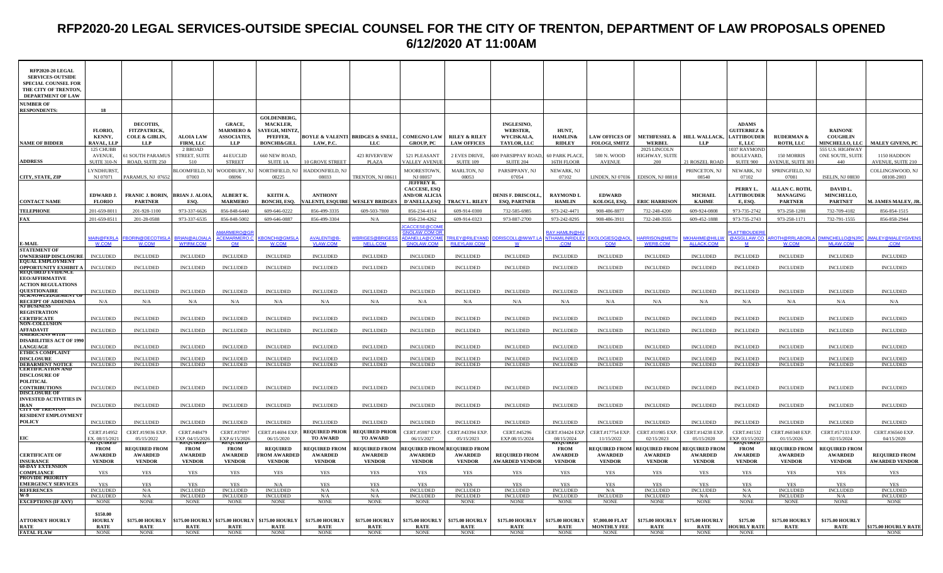## **RFP2020-20 LEGAL SERVICES-OUTSIDE SPECIAL COUNSEL FOR THE CITY OF TRENTON, DEPARTMENT OF LAW PROPOSALS OPENED 6/12/2020 AT 11:00AM**

| RFP2020-20 LEGAL<br><b>SERVICES-OUTSIDE</b><br><b>SPECIAL COUNSEL FOR</b><br>THE CITY OF TRENTON,<br><b>DEPARTMENT OF LAW</b> |                                          |                                                                      |                                       |                                                                           |                                                                                              |                                         |                                                               |                                                                                         |                                                |                                                                   |                                                              |                                               |                                                  |                                          |                                                                        |                                                     |                                                     |                                               |
|-------------------------------------------------------------------------------------------------------------------------------|------------------------------------------|----------------------------------------------------------------------|---------------------------------------|---------------------------------------------------------------------------|----------------------------------------------------------------------------------------------|-----------------------------------------|---------------------------------------------------------------|-----------------------------------------------------------------------------------------|------------------------------------------------|-------------------------------------------------------------------|--------------------------------------------------------------|-----------------------------------------------|--------------------------------------------------|------------------------------------------|------------------------------------------------------------------------|-----------------------------------------------------|-----------------------------------------------------|-----------------------------------------------|
| <b>NUMBER OF</b><br><b>RESPONDENTS</b>                                                                                        | 18                                       |                                                                      |                                       |                                                                           |                                                                                              |                                         |                                                               |                                                                                         |                                                |                                                                   |                                                              |                                               |                                                  |                                          |                                                                        |                                                     |                                                     |                                               |
| <b>NAME OF BIDDER</b>                                                                                                         | FLORIO.<br>KENNY,<br>RAVAL, LLP          | DECOTIIS.<br>FITZPATRICK,<br><b>COLE &amp; GIBLIN,</b><br><b>LLP</b> | <b>ALOIA LAW</b><br>FIRM, LLC         | <b>GRACE.</b><br><b>MARMERO &amp;</b><br><b>ASSOCIATES,</b><br><b>LLP</b> | <b>GOLDENBERG.</b><br>MACKLER.<br><b>SAYEGH, MINT2</b><br>PFEFFER,<br><b>BONCHI&amp;GILL</b> | LAW, P.C.                               | <b>BOYLE &amp; VALENTI BRIDGES &amp; SNELL,</b><br><b>LLC</b> | <b>COMEGNO LAW</b><br><b>GROUP, PC</b>                                                  | <b>RILEY &amp; RILEY</b><br><b>LAW OFFICES</b> | <b>INGLESINO.</b><br><b>WEBSTER.</b><br>WYCISKALA,<br>TAYLOR, LLC | HUNT.<br><b>HAMLIN&amp;</b><br><b>RIDLEY</b>                 | <b>LAW OFFICES OF</b><br><b>FOLOGI, SMITZ</b> | <b>WERBEL</b>                                    | METHFESSEL & HILL WALLACK,<br><b>LLP</b> | <b>ADAMS</b><br><b>GUITERREZ &amp;</b><br><b>LATTIBOUDER</b><br>E, LLC | <b>RUDERMAN &amp;</b><br><b>ROTH, LLC</b>           | <b>RAINONE</b><br><b>COUGHLIN</b><br>MINCHELLO, LLC | <b>MALEY GIVENS, PC</b>                       |
|                                                                                                                               | 125 CHUBB<br>AVENUE,                     | 51 SOUTH PARAMU                                                      | 2 BROAD<br>STREET, SUITE              | 44 EUCLID                                                                 | <b>660 NEW ROAD</b>                                                                          |                                         | 423 RIVERVIEW                                                 | 521 PLEASANT                                                                            | 2 EVES DRIVE,                                  | <b>500 PARSIPPAY ROAD</b>                                         | 60 PARK PLACE,                                               | 500 N. WOOD                                   | 2025 LINCOLN<br>HIGHWAY, SUITE                   |                                          | 037 RAYMOND<br><b>BOULEVARD,</b>                                       | 150 MORRIS                                          | 555 U.S. HIGHWAY<br>ONE SOUTE, SUITE                | 1150 HADDON                                   |
| <b>ADDRESS</b>                                                                                                                | <b>SUITE 310-1</b>                       | ROAD, SUITE 250                                                      | 510                                   | <b>STREET</b>                                                             | SUITE 1A                                                                                     | 10 GROVE STREET                         | <b>PLAZA</b>                                                  | ALLEY AVENU                                                                             | <b>SUITE 109</b>                               | <b>SUITE 204</b>                                                  | 16TH FLOOR                                                   | <b>AVENUE</b>                                 | 200                                              | 21 ROSZEL ROAD                           | SUITE 900                                                              | VENUE, SUITE 30                                     | 440                                                 | <b>NVENUE, SUITE 210</b>                      |
| CITY, STATE, ZIP                                                                                                              | <b>LYNDHURST</b><br>NJ 07071             | PARAMUS, NJ 07652                                                    | <b>BLOOMFIELD, NJ</b><br>07003        | WOODBURY, N.<br>08096                                                     | NORTHFIELD, N.<br>08225                                                                      | HADDONFIELD, NJ<br>08033                | TRENTON, NJ 08611                                             | <b>MOORESTOWN</b><br>NJ 08057                                                           | <b>MARLTON, NJ</b><br>08053                    | PARSIPPANY, NJ<br>07054                                           | NEWARK, NJ<br>07102                                          | LINDEN, NJ 07036                              | EDISON, NJ 08818                                 | PRINCETON, NJ<br>08540                   | NEWARK, NJ<br>07102                                                    | SPRINGFIELD, NJ<br>07081                            | <b>ISELIN, NJ 08830</b>                             | COLLINGSWOOD, NJ<br>08108-2003                |
| <b>CONTACT NAME</b>                                                                                                           | EDWARD J.<br><b>FLORIO</b>               | <b>FRANIC J. BORIN,</b><br><b>PARTNER</b>                            | <b>BRIAN J. ALOIA</b><br>ESO.         | <b>ALBERT K.</b><br><b>MARMERO</b>                                        | KEITH A.<br><b>BONCHI, ESO.</b>                                                              | <b>ANTHONY</b><br><b>LENTI, ESQUIRE</b> | <b>WESLEY BRIDGES</b>                                         | <b>JEFFREY R.</b><br><b>CACCESE, ESO</b><br><b>AND/OR ALICIA</b><br><b>D'ANELLA,ESO</b> | TRACY L. RILEY                                 | <b>DENIS F. DRISCOLL</b><br><b>ESO, PARTNER</b>                   | <b>RAYMONDI</b><br><b>HAMLIN</b>                             | <b>EDWARD</b><br>KOLOGI, ESO.                 | <b>ERIC HARRISON</b>                             | <b>MICHAEL</b><br><b>KAHME</b>           | PERRY L.<br><b>ATTIBOUDER</b><br>E, ESO.                               | ALLAN C. ROTH,<br><b>MANAGING</b><br><b>PARTNER</b> | DAVID L.<br><b>MINCHELLO,</b><br><b>PARTNET</b>     | <b>1. JAMES MALEY, JR.</b>                    |
| <b>TELEPHONE</b><br>FAX                                                                                                       | 201-659-8011<br>201-659-8511             | 201-928-1100<br>201-28-0588                                          | 973-337-6626<br>973-337-6535          | 856-848-6440<br>856-848-5002                                              | 609-646-0222<br>609-646-0887                                                                 | 856-499-3335<br>856-499-3304            | 609-503-7800<br>N/A                                           | 856-234-4114<br>856-234-4262                                                            | 609-914-0300<br>609-914-0323                   | 732-585-6985<br>973-887-2700                                      | 973-242-4471<br>973-242-8295                                 | 908-486-8877<br>908-486-3911                  | 732-248-4200<br>732-248-3555                     | 609-924-0808<br>609-452-1888             | 973-735-2742<br>973-735-2743                                           | 973-258-1288<br>973-258-1171                        | 732-709-4182<br>732-791-1555                        | 856-854-1515<br>856-858-2944                  |
|                                                                                                                               | <b>MAIN@FKRLA</b>                        | <b>BORIN@DECOTIISL</b>                                               | <b>BRIAN@ALOIALA</b>                  | <b>MARMERO@C</b><br><b>ACEMARMERO.</b>                                    | <b>BONCHI@GMSL</b>                                                                           | <b>AVALENTI@B</b>                       | <b>VBRIGES@BRIGES</b>                                         | CACCESE@COM<br><b>INOLAW.COM C</b><br>DANELLA@COM                                       | <b>RILEY@RILEYAND</b>                          | DRISCOLL@IWWT.L                                                   | RAY.HAMLIN@H <mark>l</mark><br><b><i>NTHAMILINRIDLEY</i></b> | KOLOGIESQ@AOL                                 | <b>IARRISON@METH</b>                             | <b>IKHAHME@HILLV</b>                     | LATTIBOUDER<br>@ASGLLAW.CO                                             | OTH@RRLABORL                                        | MINCHELLO@NJRC                                      | MALEY@MALEYGIVENS                             |
| E-MAIL<br><b>STATEMENT OF</b>                                                                                                 | W.COM                                    | <b>W.COM</b>                                                         | <b>WFIRM.COM</b>                      | <b>OM</b>                                                                 | <b>W.COM</b>                                                                                 | <b>VLAW.COM</b>                         | NELL.COM                                                      | <b>GNOLAW.COM</b>                                                                       | <b>RILEYLAW.COM</b>                            | <b>W</b>                                                          | <b>COM</b>                                                   | <b>COM</b>                                    | <b>WERB.COM</b>                                  | ALLACK.COM                               | <b>M</b>                                                               | <b>W.COM</b>                                        | MLAW.COM                                            | <b>COM</b>                                    |
| <b>OWNERSHIP DISCLOSURE</b><br><b>EQUAL EMPLOYMENT</b>                                                                        | <b>INCLUDED</b>                          | <b>INCLUDED</b>                                                      | <b>INCLUDED</b>                       | <b>INCLUDED</b>                                                           | <b>INCLUDED</b>                                                                              | <b>INCLUDED</b>                         | <b>INCLUDED</b>                                               | <b>INCLUDED</b>                                                                         | <b>INCLUDED</b>                                | <b>INCLUDED</b>                                                   | <b>INCLUDED</b>                                              | <b>INCLUDED</b>                               | <b>INCLUDED</b>                                  | <b>INCLUDED</b>                          | <b>INCLUDED</b>                                                        | <b>INCLUDED</b>                                     | <b>INCLUDED</b>                                     | <b>INCLUDED</b>                               |
| <b>OPPORTUNITY EXHIBIT A</b><br><b>REQUIRED EVIDENCE</b>                                                                      | <b>INCLUDED</b>                          | <b>INCLUDED</b>                                                      | <b>INCLUDED</b>                       | <b>INCLUDED</b>                                                           | <b>INCLUDED</b>                                                                              | <b>INCLUDED</b>                         | <b>INCLUDED</b>                                               | <b>INCLUDED</b>                                                                         | <b>INCLUDED</b>                                | <b>INCLUDED</b>                                                   | <b>INCLUDED</b>                                              | <b>INCLUDED</b>                               | <b>INCLUDED</b>                                  | <b>INCLUDED</b>                          | <b>INCLUDED</b>                                                        | <b>INCLUDED</b>                                     | <b>INCLUDED</b>                                     | <b>INCLUDED</b>                               |
| <b>EEO/AFFIRMATIVE</b><br><b>ACTION REGULATIONS</b><br><b>OUESTIONAIRE</b>                                                    | <b>INCLUDED</b>                          | <b>INCLUDED</b>                                                      | <b>INCLUDED</b>                       | <b>INCLUDED</b>                                                           | <b>INCLUDED</b>                                                                              | <b>INCLUDED</b>                         | <b>INCLUDED</b>                                               | <b>INCLUDED</b>                                                                         | <b>INCLUDED</b>                                | <b>INCLUDED</b>                                                   | <b>INCLUDED</b>                                              | <b>INCLUDED</b>                               | <b>INCLUDED</b>                                  | <b>INCLUDED</b>                          | <b>INCLUDED</b>                                                        | <b>INCLUDED</b>                                     | <b>INCLUDED</b>                                     | <b>INCLUDED</b>                               |
| ÄCKNOWLEDGEMENT O                                                                                                             | N/A                                      | N/A                                                                  | N/A                                   | N/A                                                                       | N/A                                                                                          | N/A                                     | N/A                                                           | N/A                                                                                     | N/A                                            | N/A                                                               | N/A                                                          | N/A                                           | N/A                                              | N/A                                      | N/A                                                                    | N/A                                                 | N/A                                                 | N/A                                           |
| RECEIPT OF ADDENDA<br>NJ BUSINESS<br><b>REGISTRATION</b><br><b>CERTIFICATE</b>                                                | <b>INCLUDED</b>                          | <b>INCLUDED</b>                                                      | <b>INCLUDED</b>                       | <b>INCLUDED</b>                                                           | <b>INCLUDED</b>                                                                              | <b>INCLUDED</b>                         | <b>INCLUDED</b>                                               | <b>INCLUDED</b>                                                                         | <b>INCLUDED</b>                                | <b>INCLUDED</b>                                                   | <b>INCLUDED</b>                                              | <b>INCLUDED</b>                               | <b>INCLUDED</b>                                  | <b>INCLUDED</b>                          | <b>INCLUDED</b>                                                        | <b>INCLUDED</b>                                     | <b>INCLUDED</b>                                     | <b>INCLUDED</b>                               |
| <b>NON-COLLUSION</b>                                                                                                          |                                          |                                                                      |                                       |                                                                           |                                                                                              |                                         |                                                               |                                                                                         |                                                |                                                                   |                                                              |                                               |                                                  |                                          |                                                                        |                                                     |                                                     |                                               |
| <b>AFFADAVIT</b><br>AMERICANS WITH<br><b>DISABILITIES ACT OF 1990</b>                                                         | <b>INCLUDED</b>                          | <b>INCLUDED</b>                                                      | <b>INCLUDED</b>                       | <b>INCLUDED</b>                                                           | <b>INCLUDED</b>                                                                              | <b>INCLUDED</b>                         | <b>INCLUDED</b>                                               | <b>INCLUDED</b>                                                                         | <b>INCLUDED</b>                                | <b>INCLUDED</b>                                                   | <b>INCLUDED</b>                                              | <b>INCLUDED</b>                               | <b>INCLUDED</b>                                  | <b>INCLUDED</b>                          | <b>INCLUDED</b>                                                        | <b>INCLUDED</b>                                     | <b>INCLUDED</b>                                     | <b>INCLUDED</b>                               |
| <b>LANGUAGE</b><br><b>ETHICS COMPLAINT</b>                                                                                    | <b>INCLUDED</b>                          | <b>INCLUDED</b>                                                      | <b>INCLUDED</b>                       | <b>INCLUDED</b>                                                           | <b>INCLUDED</b>                                                                              | <b>INCLUDED</b>                         | <b>INCLUDED</b>                                               | <b>INCLUDED</b>                                                                         | <b>INCLUDED</b>                                | <b>INCLUDED</b>                                                   | <b>INCLUDED</b>                                              | <b>INCLUDED</b>                               | <b>INCLUDED</b>                                  | <b>INCLUDED</b>                          | <b>INCLUDED</b>                                                        | <b>INCLUDED</b>                                     | <b>INCLUDED</b>                                     | <b>INCLUDED</b>                               |
| <b>DISCLOSURE</b><br><b>DEBARMENT NOTICE</b>                                                                                  | <b>INCLUDED</b><br><b>INCLUDED</b>       | <b>INCLUDED</b><br><b>INCLUDED</b>                                   | <b>INCLUDED</b><br>INCLUDED           | <b>INCLUDED</b><br>INCLUDED                                               | <b>INCLUDED</b><br><b>INCLUDED</b>                                                           | <b>INCLUDED</b><br><b>INCLUDED</b>      | <b>INCLUDED</b><br><b>INCLUDED</b>                            | <b>INCLUDED</b><br><b>INCLUDED</b>                                                      | <b>INCLUDED</b><br><b>INCLUDED</b>             | <b>INCLUDED</b><br><b>INCLUDED</b>                                | <b>INCLUDED</b><br><b>INCLUDED</b>                           | <b>INCLUDED</b><br><b>INCLUDED</b>            | <b>INCLUDED</b><br><b>INCLUDED</b>               | <b>INCLUDED</b><br><b>INCLUDED</b>       | <b>INCLUDED</b><br><b>INCLUDED</b>                                     | <b>INCLUDED</b><br><b>INCLUDED</b>                  | <b>INCLUDED</b><br><b>INCLUDED</b>                  | <b>INCLUDED</b><br><b>INCLUDED</b>            |
| <b>CERTIFICATION AND</b><br><b>DISCLOSURE OF</b><br><b>POLITICAL</b><br><b>CONTRIBUTIONS</b>                                  | <b>INCLUDED</b>                          | <b>INCLUDED</b>                                                      | <b>INCLUDED</b>                       | <b>INCLUDED</b>                                                           | <b>INCLUDED</b>                                                                              | <b>INCLUDED</b>                         | <b>INCLUDED</b>                                               | <b>INCLUDED</b>                                                                         | <b>INCLUDED</b>                                | <b>INCLUDED</b>                                                   | <b>INCLUDED</b>                                              | <b>INCLUDED</b>                               | <b>INCLUDED</b>                                  | <b>INCLUDED</b>                          | <b>INCLUDED</b>                                                        | <b>INCLUDED</b>                                     | <b>INCLUDED</b>                                     | <b>INCLUDED</b>                               |
| <b>DISCLOSURE OF</b><br><b>INVESTED ACTIVITIES IN</b><br>IRAN<br><b>CITY OF TRENTON</b>                                       | <b>INCLUDED</b>                          | <b>INCLUDED</b>                                                      | <b>INCLUDED</b>                       | <b>INCLUDED</b>                                                           | <b>INCLUDED</b>                                                                              | <b>INCLUDED</b>                         | <b>INCLUDED</b>                                               | <b>INCLUDED</b>                                                                         | <b>INCLUDED</b>                                | <b>INCLUDED</b>                                                   | <b>INCLUDED</b>                                              | <b>INCLUDED</b>                               | <b>INCLUDED</b>                                  | <b>INCLUDED</b>                          | <b>INCLUDED</b>                                                        | <b>INCLUDED</b>                                     | <b>INCLUDED</b>                                     | <b>INCLUDED</b>                               |
| <b>RESIDENT EMPLOYMENT</b>                                                                                                    | <b>INCLUDED</b>                          | <b>INCLUDED</b>                                                      | <b>INCLUDED</b>                       | <b>INCLUDED</b>                                                           | <b>INCLUDED</b>                                                                              | <b>INCLUDED</b>                         | <b>INCLUDED</b>                                               | <b>INCLUDED</b>                                                                         | <b>INCLUDED</b>                                | <b>INCLUDED</b>                                                   | <b>INCLUDED</b>                                              | <b>INCLUDED</b>                               | <b>INCLUDED</b>                                  | <b>INCLUDED</b>                          | <b>INCLUDED</b>                                                        | <b>INCLUDED</b>                                     | <b>INCLUDED</b>                                     | <b>INCLUDED</b>                               |
| <b>POLICY</b>                                                                                                                 | CERT.#14952                              | CERT.#19036 EXP.                                                     | CERT.#48479                           | CERT.#37097                                                               | CERT.#14694 EXI                                                                              | <b>REQUIRED PRIOR</b>                   | <b>REQUIRED PRIOI</b>                                         | <b>CERT.#5987 EXP</b>                                                                   | CERT.#43394 EXP                                | CERT.#45296                                                       | ERT.#34424 EXP.                                              | CERT.#17754 EXP.                              | CERT.#31985 EXP                                  | CERT.#14238 EXP                          | CERT.#41532                                                            | CERT.#60348 EXP.                                    | CERT.#57133 EXP.                                    | CERT.#36560 EXP.                              |
| EIC                                                                                                                           | EX. 08/15/2021<br><b>FROM</b>            | 05/15/2022<br><b>REQUIRED FROM</b>                                   | EXP. 04/15/2026<br><b>FROM</b>        | EXP.6/15/2026<br><b>FROM</b>                                              | 06/15/2020<br><b>REQUIRED</b>                                                                | TO AWARD<br><b>REQUIRED FROM</b>        | <b>TO AWARD</b><br><b>REQUIRED FROM</b>                       | 06/15/2027<br><b>REQUIRED FROM</b>                                                      | 05/15/2023<br><b>REQUIRED FROM</b>             | EXP.08/15/2024                                                    | 08/15/2024<br><b>FROM</b>                                    | 11/15/2022<br><b>REQUIRED FROM</b>            | 02/15/2023<br><b>REQUIRED FROM REQUIRED FROM</b> | 05/15/2020                               | EXP. 03/15/202<br><b>KEQUIKED</b><br><b>FROM</b>                       | 01/15/2026<br><b>REQUIRED FROM</b>                  | 02/15/2024<br><b>REQUIRED FROM</b>                  | 04/15/2020                                    |
| <b>CERTIFICATE OF</b><br><b>INSURANCE</b>                                                                                     | <b>AWARDED</b><br><b>VENDOR</b>          | <b>AWARDED</b><br><b>VENDOR</b>                                      | <b>AWARDED</b><br><b>VENDOR</b>       | <b>AWARDED</b><br><b>VENDOR</b>                                           | <b>ROM AWARDEI</b><br><b>VENDOR</b>                                                          | <b>AWARDED</b><br><b>VENDOR</b>         | <b>AWARDED</b><br><b>VENDOR</b>                               | <b>AWARDED</b><br><b>VENDOR</b>                                                         | <b>AWARDED</b><br><b>VENDOR</b>                | <b>REQUIRED FROM</b><br><b>AWARDED VENDOR</b>                     | <b>AWARDED</b><br><b>VENDOR</b>                              | <b>AWARDED</b><br><b>VENDOR</b>               | <b>AWARDED</b><br><b>VENDOR</b>                  | <b>AWARDED</b><br><b>VENDOR</b>          | <b>AWARDED</b><br><b>VENDOR</b>                                        | <b>AWARDED</b><br><b>VENDOR</b>                     | <b>AWARDED</b><br><b>VENDOR</b>                     | <b>REQUIRED FROM</b><br><b>AWARDED VENDOR</b> |
| <b>60-DAY EXTENSION</b><br><b>COMPLIANCE</b>                                                                                  | YES                                      | <b>YES</b>                                                           | <b>YES</b>                            | YES                                                                       | <b>YES</b>                                                                                   | <b>YES</b>                              | <b>YES</b>                                                    | <b>YES</b>                                                                              | <b>YES</b>                                     | YES                                                               | <b>YES</b>                                                   | YES                                           | YES                                              | <b>YES</b>                               | <b>YES</b>                                                             | <b>YES</b>                                          | <b>YES</b>                                          | <b>YES</b>                                    |
| <b>PROVIDE PRIORITY</b><br><b>EMERGENCY SERVICES</b>                                                                          | <b>YES</b>                               | <b>YES</b>                                                           | <b>YES</b>                            | <b>YES</b>                                                                | N/A                                                                                          | <b>YES</b>                              | <b>YES</b>                                                    | <b>YES</b>                                                                              | <b>YES</b>                                     | <b>YES</b>                                                        | <b>YES</b>                                                   | <b>YES</b>                                    | <b>YES</b>                                       | <b>YES</b>                               | <b>YES</b>                                                             | <b>YES</b>                                          | <b>YES</b>                                          | <b>YES</b>                                    |
| <b>REFERENCES</b>                                                                                                             | <b>INCLUDED</b>                          | N/A                                                                  | <b>INCLUDED</b>                       | <b>INCLUDED</b>                                                           | <b>INCLUDED</b>                                                                              | N/A                                     | N/A                                                           | <b>INCLUDED</b>                                                                         | <b>INCLUDED</b>                                | <b>INCLUDED</b>                                                   | <b>INCLUDED</b>                                              | N/A                                           | <b>INCLUDED</b>                                  | <b>INCLUDED</b>                          | N/A                                                                    | <b>INCLUDED</b>                                     | <b>INCLUDED</b>                                     | <b>INCLUDED</b>                               |
| <b>EXCEPTIONS (IF ANY)</b>                                                                                                    | <b>INCLUDED</b><br><b>NONE</b>           | N/A<br><b>NONE</b>                                                   | <b>INCLUDED</b><br><b>NONE</b>        | <b>INCLUDED</b><br><b>NONE</b>                                            | INCLUDED<br><b>NONE</b>                                                                      | N/A<br><b>NONE</b>                      | N/A<br>$\rm{NONE}$                                            | <b>INCLUDED</b><br><b>NONE</b>                                                          | <b>INCLUDED</b><br><b>NONE</b>                 | <b>INCLUDED</b><br><b>NONE</b>                                    | <b>INCLUDED</b><br><b>NONE</b>                               | INCLUDED<br><b>NONE</b>                       | <b>INCLUDED</b><br><b>NONE</b>                   | N/A<br><b>NONE</b>                       | N/A<br><b>NONE</b>                                                     | <b>INCLUDED</b><br><b>NONE</b>                      | N/A<br><b>NONE</b>                                  | <b>INCLUDED</b><br><b>NONE</b>                |
| <b>ATTORNEY HOURLY</b><br>RATE                                                                                                | \$150.00<br><b>HOURLY</b><br><b>RATE</b> | \$175.00 HOURLY<br><b>RATE</b>                                       | <b>\$175.00 HOURLY</b><br><b>RATE</b> | <b>\$175.00 HOURLY</b><br><b>RATE</b>                                     | \$175.00 HOURLY<br><b>RATE</b>                                                               | <b>\$175.00 HOURLY</b><br><b>RATE</b>   | \$175.00 HOURLY<br><b>RATE</b>                                | \$175.00 HOURLY<br><b>RATE</b>                                                          | \$175.00 HOURLY<br><b>RATE</b>                 | \$175.00 HOURLY<br><b>RATE</b>                                    | \$175.00 HOURLY<br><b>RATE</b>                               | \$7,000.00 FLAT<br><b>MONTHLY FEE</b>         | <b>\$175.00 HOURLY</b><br><b>RATE</b>            | <b>\$175.00 HOURLY</b><br><b>RATE</b>    | \$175.00<br><b>OURLY RATI</b>                                          | \$175.00 HOURLY<br><b>RATE</b>                      | \$175.00 HOURLY<br><b>RATE</b>                      | 175.00 HOURLY RATE                            |
| <b>FATAL FLAW</b>                                                                                                             | <b>NONE</b>                              | <b>NONE</b>                                                          | <b>NONE</b>                           | <b>NONE</b>                                                               | <b>NONE</b>                                                                                  | <b>NONE</b>                             | <b>NONE</b>                                                   | <b>NONE</b>                                                                             | <b>NONE</b>                                    | <b>NONE</b>                                                       | <b>NONE</b>                                                  | <b>NONE</b>                                   | <b>NONE</b>                                      | <b>NONE</b>                              | <b>NONE</b>                                                            |                                                     |                                                     | <b>NONE</b>                                   |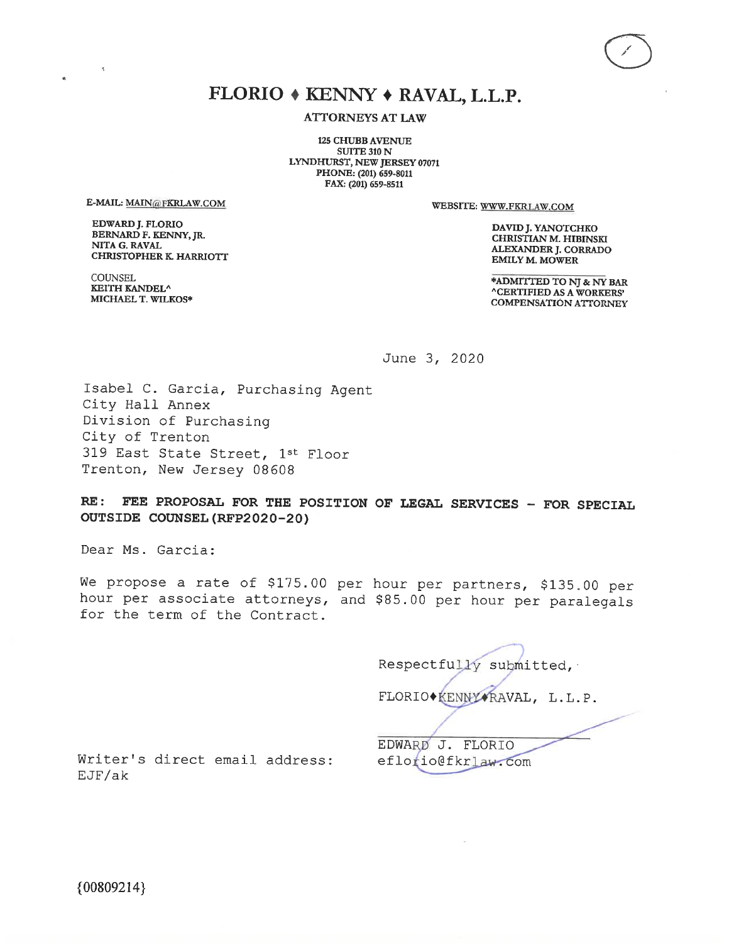## FLORIO + KENNY + RAVAL, L.L.P.

**ATTORNEYS AT LAW** 

**125 CHUBB AVENUE SUITE 310 N** LYNDHURST, NEW JERSEY 07071 PHONE: (201) 659-8011 FAX: (201) 659-8511

E-MAIL: MAIN@FKRLAW.COM

**EDWARD J. FLORIO** BERNARD F. KENNY, JR. NITA G. RAVAL **CHRISTOPHER K. HARRIOTT**  WEBSITE: WWW.FKRLAW.COM

DAVID J. YANOTCHKO **CHRISTIAN M. HIBINSKI** ALEXANDER J. CORRADO **EMILY M. MOWER** 

COUNSEL KEITH KANDEL^ MICHAEL T. WILKOS\*

\*ADMITTED TO NJ & NY BAR **^CERTIFIED AS A WORKERS' COMPENSATION ATTORNEY** 

June 3, 2020

Isabel C. Garcia, Purchasing Agent City Hall Annex Division of Purchasing City of Trenton 319 East State Street, 1st Floor Trenton, New Jersey 08608

FEE PROPOSAL FOR THE POSITION OF LEGAL SERVICES - FOR SPECIAL  $RE:$ OUTSIDE COUNSEL (RFP2020-20)

Dear Ms. Garcia:

We propose a rate of \$175.00 per hour per partners, \$135.00 per hour per associate attorneys, and \$85.00 per hour per paralegals for the term of the Contract.

> Respectfully submitted, FLORIO+KENNY+RAVAL, L.L.P.

Writer's direct email address: EJF/ak

EDWARD J. FLORIO eflorio@fkrlaw.com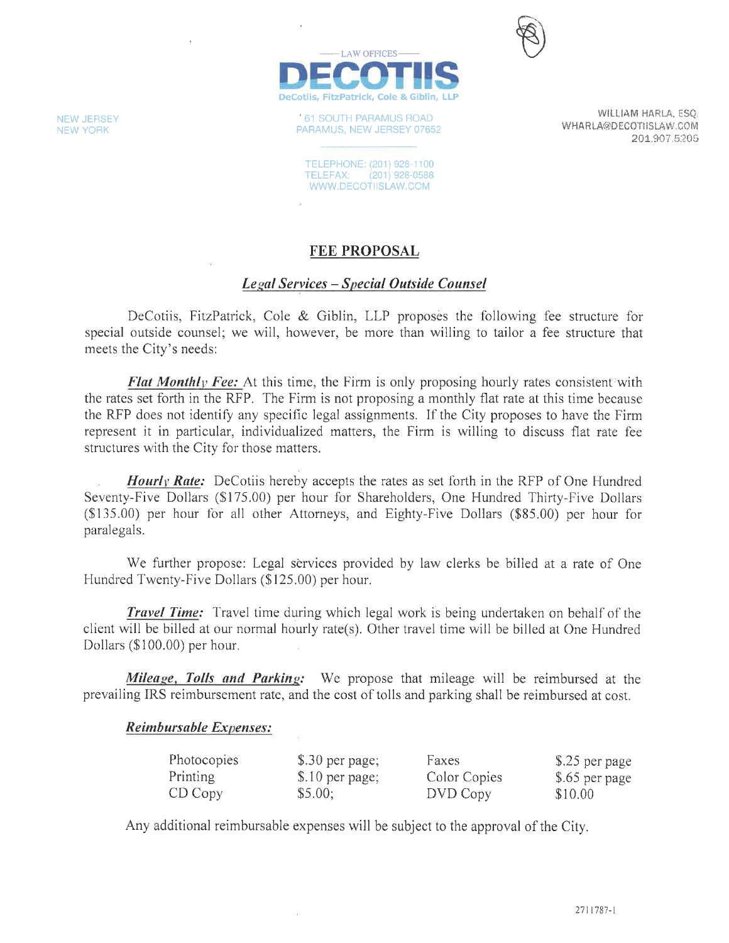

**61 SOUTH PARAMUS ROAD** PARAMUS, NEW JERSEY 07652

TELEPHONE: (201) 928-1100 TELEFAX: (201) 928-0588 WWW.DECOTIISLAW.COM

WILLIAM HARLA, ESQ. WHARLA@DECOTIISLAW.COM 201.907.5205

### FEE PROPOSAL

### Legal Services - Special Outside Counsel

DeCotiis, FitzPatrick, Cole & Giblin, LLP proposes the following fee structure for special outside counsel; we will, however, be more than willing to tailor a fee structure that meets the City's needs:

**Flat Monthly Fee:** At this time, the Firm is only proposing hourly rates consistent with the rates set forth in the RFP. The Firm is not proposing a monthly flat rate at this time because the RFP does not identify any specific legal assignments. If the City proposes to have the Firm represent it in particular, individualized matters, the Firm is willing to discuss flat rate fee structures with the City for those matters.

**Hourly Rate:** DeCotiis hereby accepts the rates as set forth in the RFP of One Hundred Seventy-Five Dollars (\$175.00) per hour for Shareholders, One Hundred Thirty-Five Dollars (\$135.00) per hour for all other Attorneys, and Eighty-Five Dollars (\$85.00) per hour for paralegals.

We further propose: Legal services provided by law clerks be billed at a rate of One Hundred Twenty-Five Dollars (\$125.00) per hour.

**Travel Time:** Travel time during which legal work is being undertaken on behalf of the client will be billed at our normal hourly rate(s). Other travel time will be billed at One Hundred Dollars (\$100.00) per hour.

Mileage, Tolls and Parking: We propose that mileage will be reimbursed at the prevailing IRS reimbursement rate, and the cost of tolls and parking shall be reimbursed at cost.

#### Reimbursable Expenses:

| Photocopies | \$.30 per page; | Faxes        | \$.25 per page |
|-------------|-----------------|--------------|----------------|
| Printing    | \$.10 per page; | Color Copies | \$.65 per page |
| CD Copy     | \$5.00;         | DVD Copy     | \$10.00        |

Any additional reimbursable expenses will be subject to the approval of the City.

**NEW JERSEY NEW YORK**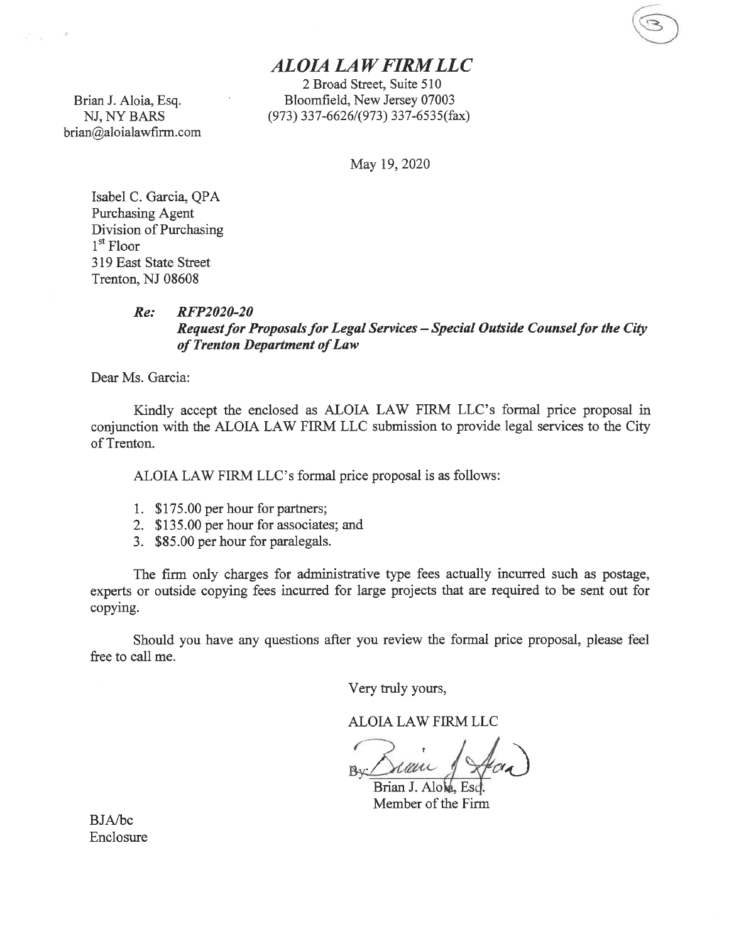### **ALOIA LAW FIRM LLC**

2 Broad Street, Suite 510 Bloomfield, New Jersey 07003 (973) 337-6626/(973) 337-6535(fax)

May 19, 2020

Isabel C. Garcia, QPA Purchasing Agent Division of Purchasing  $1<sup>st</sup>$  Floor 319 East State Street Trenton, NJ 08608

Brian J. Aloia, Esq.

NJ, NY BARS brian@aloialawfirm.com

 $\sim$   $\approx$ 

#### RFP2020-20  $Re:$ Request for Proposals for Legal Services - Special Outside Counsel for the City of Trenton Department of Law

Dear Ms. Garcia:

Kindly accept the enclosed as ALOIA LAW FIRM LLC's formal price proposal in conjunction with the ALOIA LAW FIRM LLC submission to provide legal services to the City of Trenton.

ALOIA LAW FIRM LLC's formal price proposal is as follows:

- 1. \$175.00 per hour for partners;
- 2. \$135.00 per hour for associates; and
- 3. \$85.00 per hour for paralegals.

The firm only charges for administrative type fees actually incurred such as postage, experts or outside copying fees incurred for large projects that are required to be sent out for copying.

Should you have any questions after you review the formal price proposal, please feel free to call me.

Very truly yours,

ALOIA LAW FIRM LLC

rmu Brian J. Alow

Member of the Firm

BJA/bc Enclosure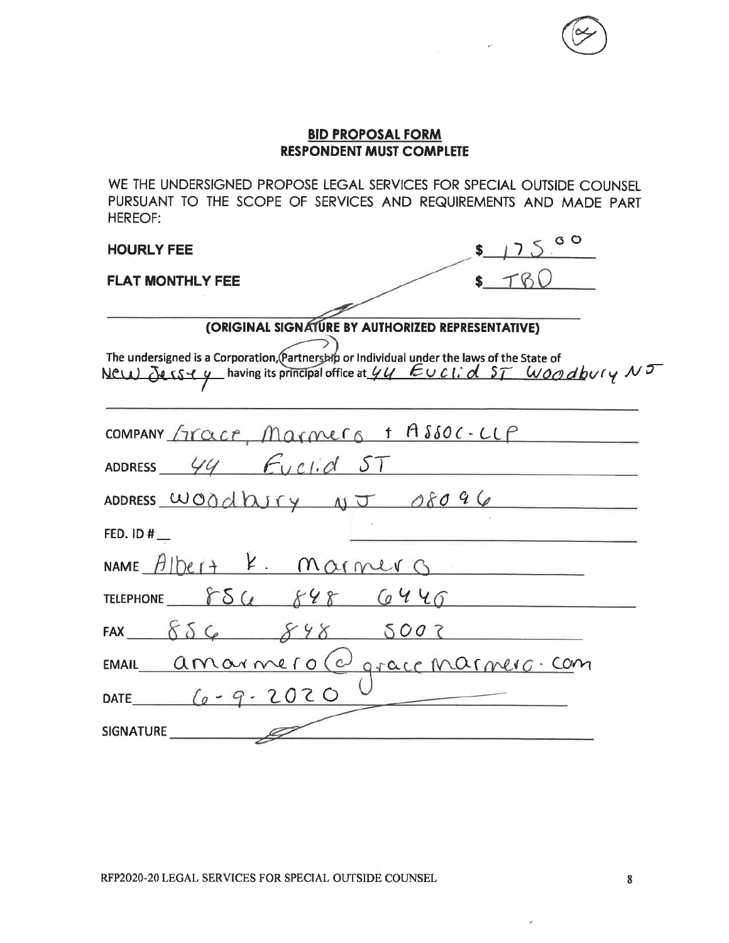WE THE UNDERSIGNED PROPOSE LEGAL SERVICES FOR SPECIAL OUTSIDE COUNSEL PURSUANT TO THE SCOPE OF SERVICES AND REQUIREMENTS AND MADE PART **HEREOF:** 

#### **HOURLY FEE**

#### **FLAT MONTHLY FEE**

|                      | $\circ$ $\circ$ |
|----------------------|-----------------|
|                      |                 |
| --------<br>.<br>- 1 | .               |

### (ORIGINAL SIGNATURE BY AUTHORIZED REPRESENTATIVE)

The undersigned is a Corporation, Partnership or Individual under the laws of the State of<br>NCLL DUSY y having its principal office at  $\frac{U}{V}$  EUCL of ST WOO dbvry NT

| COMPANY FICACE, Marmers + ASSOC-LLP |
|-------------------------------------|
| ADDRESS $44$ Euclid ST              |
| ADDRESS WOOdbury $\sqrt{J}$ 08096   |
| FED. $ID#$                          |
| NAME $Albert + 4. MOfMUS$           |
| TELEPHONE 854 848 6446              |
| FAX $856$ $848$ 5002                |
| EMAIL amarmero@graceMarmero.com     |
| DATE $(a - 9 - 2020$                |
| SIGNATURE                           |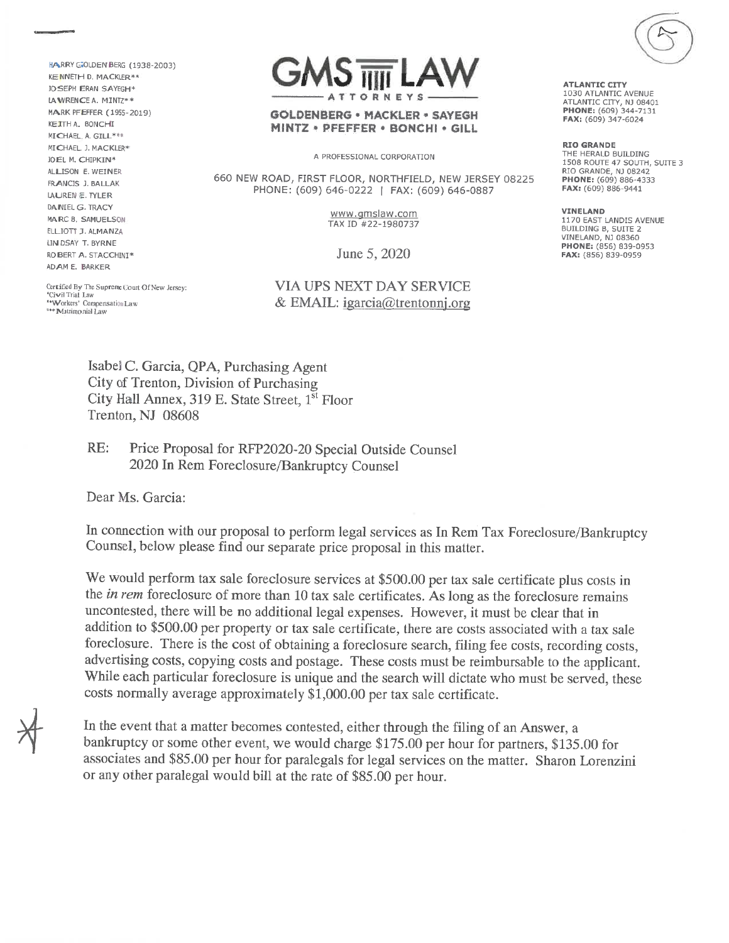HA RRY GOLDEN BERG (1938-2003) KE NNETH D. MACKLER\*\* **JOSEPH ERAN SAYEGH\*** LA WRENCE A. MINTZ\*\* MARK PFEFFER (1955-2019) KEITH A. BONCHI MICHAEL A. GILL\*\*\* MICHAEL J. MACKLER\* **JOEL M. CHIPKIN\*** ALLISON E. WETNER FRANCIS J. BALLAK **LAUREN E. TYLER** DAINEL G. TRACY MARC B. SAMUELSON. ELLIOTT J. ALMANZA LIN DSAY T. BYRNE ROBERT A. STACCHINI\* ADAM E. BARKER

TODNEY

#### GOLDENBERG · MACKLER · SAYEGH MINTZ \* PFEFFER \* BONCHI \* GILL

A PROFESSIONAL CORPORATION

660 NEW ROAD, FIRST FLOOR, NORTHFIELD, NEW JERSEY 08225 PHONE: (609) 646-0222 | FAX: (609) 646-0887

> www.gmslaw.com TAX ID #22-1980737

June 5, 2020

#### **VIA UPS NEXT DAY SERVICE** & EMAIL:  $igarcia@trentonnj.org$

Certified By The Supreme Court Of New Jersey: Civil Trial Law \*\*Workers' Compensation Law \*\*\* Matrimonial Law

**ATLANTIC CITY** 1030 ATLANTIC AVENUE **ATLANTIC CITY, NJ 08401**<br>**PHONE:** (609) 344-7131 FAX: (609) 347-6024

**RIO GRANDE** THE HERALD BUILDING 1508 ROUTE 47 SOUTH, SUITE 3 RIO GRANDE, NJ 08242 **PHONE:** (609) 886-4333 FAX: (609) 886-9441

**VINELAND** 1170 EAST LANDIS AVENUE BUILDING B, SUITE 2 VINELAND, NJ 08360 PHONE: (856) 839-0953 FAX: (856) 839-0959

Isabel C. Garcia, QPA, Purchasing Agent City of Trenton, Division of Purchasing City Hall Annex, 319 E. State Street, 1<sup>st</sup> Floor Trenton, NJ 08608

 $RE:$ Price Proposal for RFP2020-20 Special Outside Counsel 2020 In Rem Foreclosure/Bankruptcy Counsel

Dear Ms. Garcia:

In connection with our proposal to perform legal services as In Rem Tax Foreclosure/Bankruptcy Counsel, below please find our separate price proposal in this matter.

We would perform tax sale foreclosure services at \$500.00 per tax sale certificate plus costs in the *in rem* foreclosure of more than 10 tax sale certificates. As long as the foreclosure remains uncontested, there will be no additional legal expenses. However, it must be clear that in addition to \$500.00 per property or tax sale certificate, there are costs associated with a tax sale foreclosure. There is the cost of obtaining a foreclosure search, filing fee costs, recording costs, advertising costs, copying costs and postage. These costs must be reimbursable to the applicant. While each particular foreclosure is unique and the search will dictate who must be served, these costs normally average approximately \$1,000.00 per tax sale certificate.

In the event that a matter becomes contested, either through the filing of an Answer, a bankruptcy or some other event, we would charge \$175.00 per hour for partners, \$135.00 for associates and \$85.00 per hour for paralegals for legal services on the matter. Sharon Lorenzini or any other paralegal would bill at the rate of \$85.00 per hour.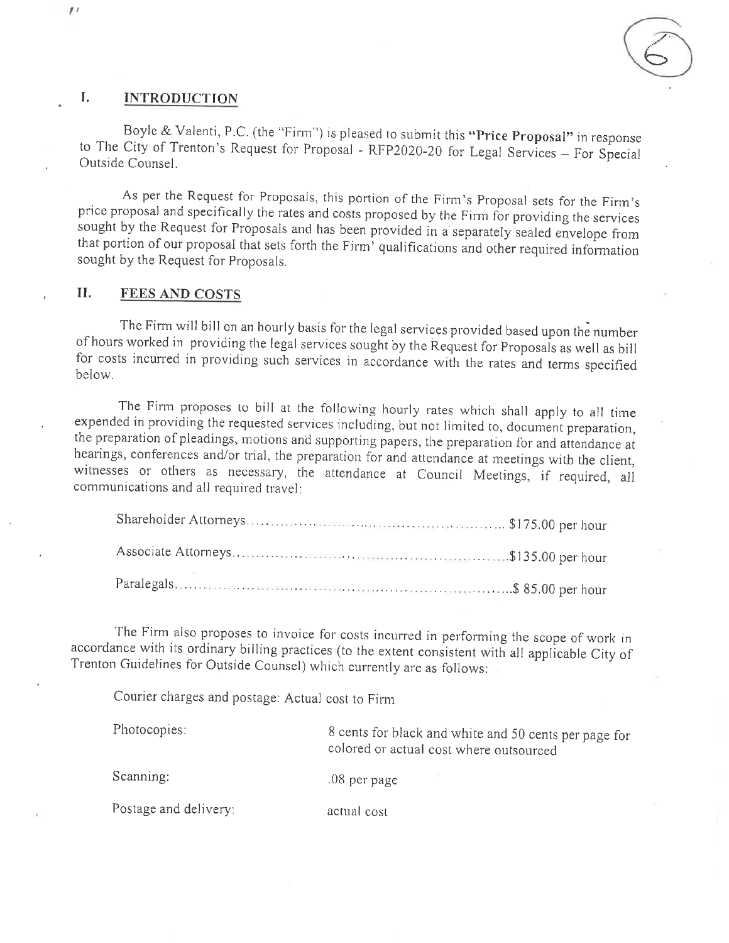

#### L **INTRODUCTION**

Boyle & Valenti, P.C. (the "Firm") is pleased to submit this "Price Proposal" in response to The City of Trenton's Request for Proposal - RFP2020-20 for Legal Services - For Special Outside Counsel.

As per the Request for Proposals, this portion of the Firm's Proposal sets for the Firm's price proposal and specifically the rates and costs proposed by the Firm for providing the services sought by the Request for Proposals and has been provided in a separately sealed envelope from that portion of our proposal that sets forth the Firm' qualifications and other required information sought by the Request for Proposals.

#### II. **FEES AND COSTS**

The Firm will bill on an hourly basis for the legal services provided based upon the number of hours worked in providing the legal services sought by the Request for Proposals as well as bill for costs incurred in providing such services in accordance with the rates and terms specified below.

The Firm proposes to bill at the following hourly rates which shall apply to all time expended in providing the requested services including, but not limited to, document preparation, the preparation of pleadings, motions and supporting papers, the preparation for and attendance at hearings, conferences and/or trial, the preparation for and attendance at meetings with the client, witnesses or others as necessary, the attendance at Council Meetings, if required, all communications and all required travel:

The Firm also proposes to invoice for costs incurred in performing the scope of work in accordance with its ordinary billing practices (to the extent consistent with all applicable City of Trenton Guidelines for Outside Counsel) which currently are as follows:

Courier charges and postage: Actual cost to Firm

| Photocopies:          | 8 cents for black and white and 50 cents per page for<br>colored or actual cost where outsourced |
|-----------------------|--------------------------------------------------------------------------------------------------|
| Scanning:             | $.08$ per page                                                                                   |
| Postage and delivery: | actual cost                                                                                      |

 $\frac{1}{2}$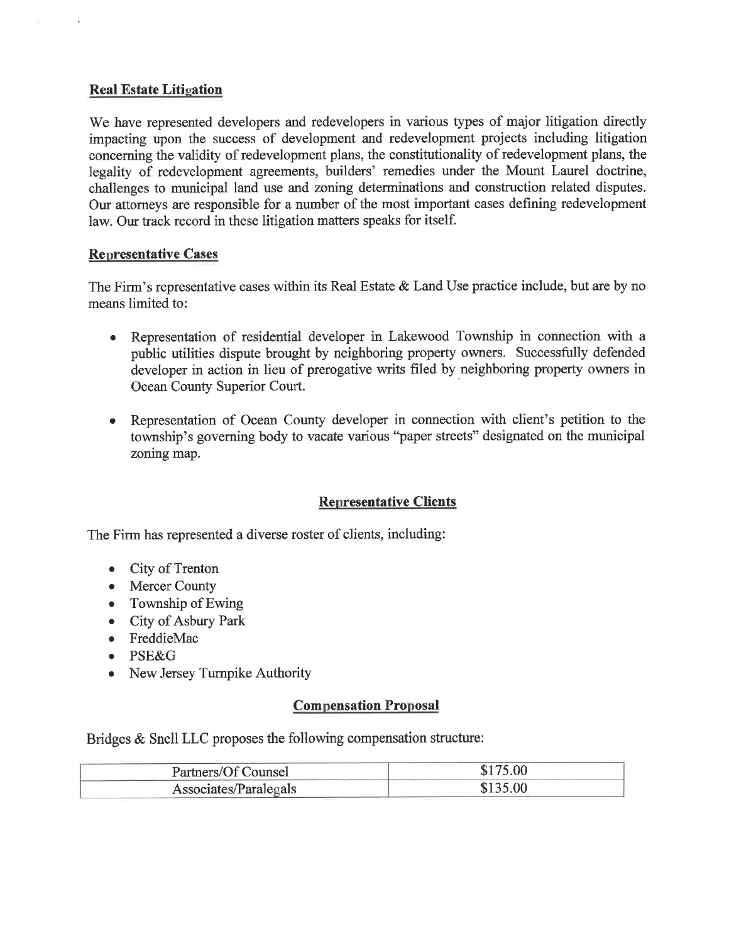#### **Real Estate Litigation**

We have represented developers and redevelopers in various types of major litigation directly impacting upon the success of development and redevelopment projects including litigation concerning the validity of redevelopment plans, the constitutionality of redevelopment plans, the legality of redevelopment agreements, builders' remedies under the Mount Laurel doctrine, challenges to municipal land use and zoning determinations and construction related disputes. Our attorneys are responsible for a number of the most important cases defining redevelopment law. Our track record in these litigation matters speaks for itself.

#### **Representative Cases**

The Firm's representative cases within its Real Estate & Land Use practice include, but are by no means limited to:

- Representation of residential developer in Lakewood Township in connection with a  $\bullet$ public utilities dispute brought by neighboring property owners. Successfully defended developer in action in lieu of prerogative writs filed by neighboring property owners in Ocean County Superior Court.
- Representation of Ocean County developer in connection with client's petition to the  $\bullet$ township's governing body to vacate various "paper streets" designated on the municipal zoning map.

#### **Representative Clients**

The Firm has represented a diverse roster of clients, including:

- City of Trenton
- Mercer County
- $\bullet$  Township of Ewing
- City of Asbury Park
- FreddieMac
- · PSE&G
- New Jersey Turnpike Authority

### **Compensation Proposal**

Bridges & Snell LLC proposes the following compensation structure:

| Partners/Of Counsel   | \$175.00 |
|-----------------------|----------|
| Associates/Paralegals | \$135.00 |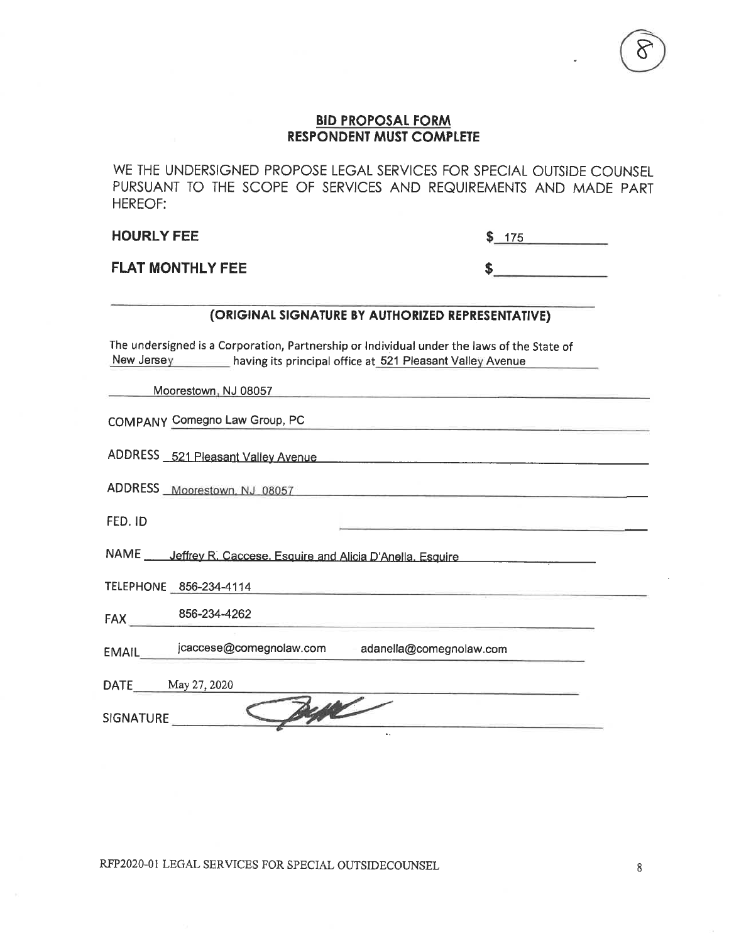WE THE UNDERSIGNED PROPOSE LEGAL SERVICES FOR SPECIAL OUTSIDE COUNSEL PURSUANT TO THE SCOPE OF SERVICES AND REQUIREMENTS AND MADE PART **HEREOF:** 

**HOURLY FEE** 

| 75                           |  |
|------------------------------|--|
| The property of the property |  |

\$

**FLAT MONTHLY FEE** 

#### (ORIGINAL SIGNATURE BY AUTHORIZED REPRESENTATIVE)

The undersigned is a Corporation, Partnership or Individual under the laws of the State of New Jersey having its principal office at 521 Pleasant Valley Avenue

Moorestown, NJ 08057

COMPANY Comegno Law Group, PC

ADDRESS 521 Pleasant Valley Avenue

ADDRESS Moorestown, NJ 08057

FED. ID

NAME \_\_\_\_\_ Jeffrey R. Caccese. Esquire and Alicia D'Anella. Esquire

TELEPHONE 856-234-4114

FAX 856-234-4262

EMAIL jcaccese@comegnolaw.com adanella@comegnolaw.com

DATE May 27, 2020

SIGNATURE

RFP2020-01 LEGAL SERVICES FOR SPECIAL OUTSIDECOUNSEL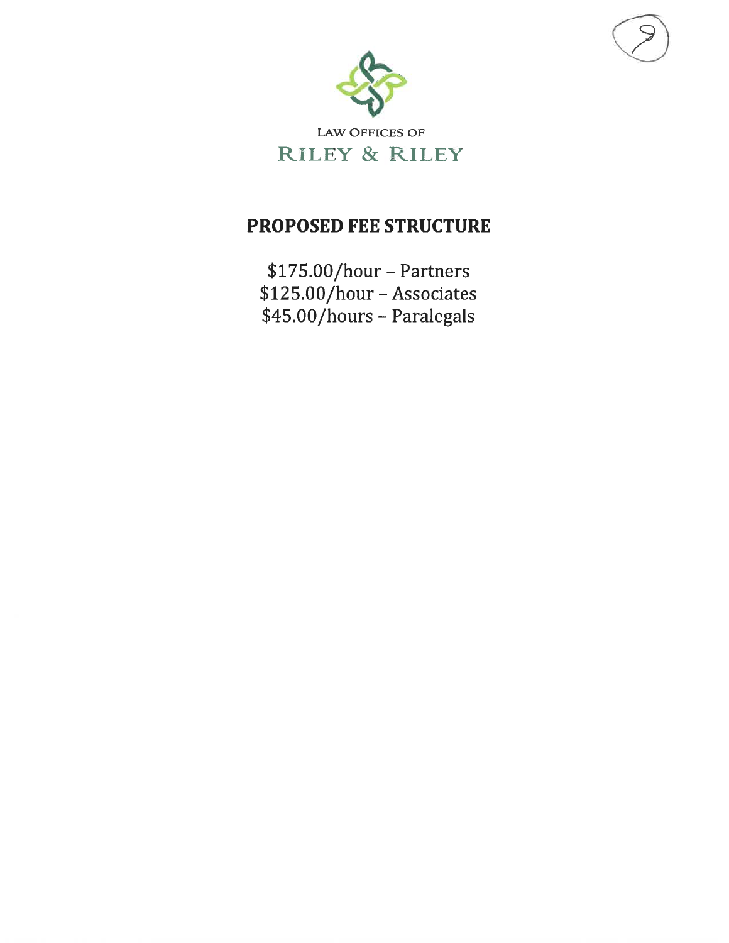

LAW OFFICES OF **RILEY & RILEY** 

# PROPOSED FEE STRUCTURE

 $$175.00/hour - Partners$ \$125.00/hour - Associates \$45.00/hours - Paralegals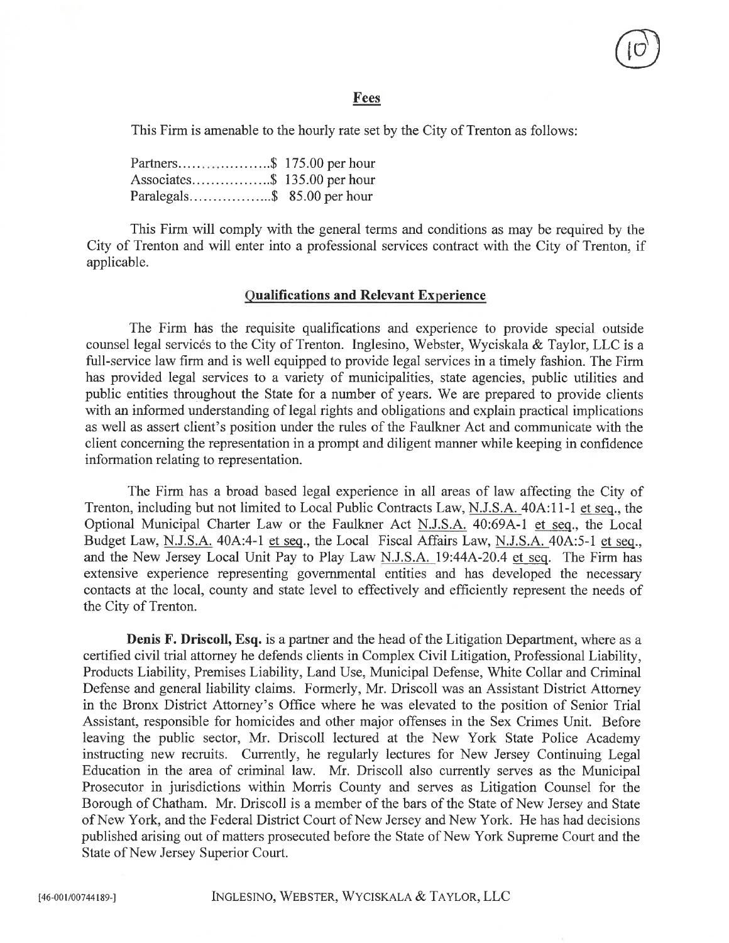#### **Fees**

This Firm is amenable to the hourly rate set by the City of Trenton as follows:

Associates................\$ 135.00 per hour 

This Firm will comply with the general terms and conditions as may be required by the City of Trenton and will enter into a professional services contract with the City of Trenton, if applicable.

#### **Qualifications and Relevant Experience**

The Firm has the requisite qualifications and experience to provide special outside counsel legal services to the City of Trenton. Inglesino, Webster, Wyciskala & Taylor, LLC is a full-service law firm and is well equipped to provide legal services in a timely fashion. The Firm has provided legal services to a variety of municipalities, state agencies, public utilities and public entities throughout the State for a number of years. We are prepared to provide clients with an informed understanding of legal rights and obligations and explain practical implications as well as assert client's position under the rules of the Faulkner Act and communicate with the client concerning the representation in a prompt and diligent manner while keeping in confidence information relating to representation.

The Firm has a broad based legal experience in all areas of law affecting the City of Trenton, including but not limited to Local Public Contracts Law, N.J.S.A. 40A:11-1 et seq., the Optional Municipal Charter Law or the Faulkner Act N.J.S.A. 40:69A-1 et seq., the Local Budget Law, N.J.S.A. 40A:4-1 et seq., the Local Fiscal Affairs Law, N.J.S.A. 40A:5-1 et seq., and the New Jersey Local Unit Pay to Play Law N.J.S.A. 19:44A-20.4 et seq. The Firm has extensive experience representing governmental entities and has developed the necessary contacts at the local, county and state level to effectively and efficiently represent the needs of the City of Trenton.

**Denis F. Driscoll, Esq.** is a partner and the head of the Litigation Department, where as a certified civil trial attorney he defends clients in Complex Civil Litigation, Professional Liability, Products Liability, Premises Liability, Land Use, Municipal Defense, White Collar and Criminal Defense and general liability claims. Formerly, Mr. Driscoll was an Assistant District Attorney in the Bronx District Attorney's Office where he was elevated to the position of Senior Trial Assistant, responsible for homicides and other major offenses in the Sex Crimes Unit. Before leaving the public sector, Mr. Driscoll lectured at the New York State Police Academy instructing new recruits. Currently, he regularly lectures for New Jersey Continuing Legal Education in the area of criminal law. Mr. Driscoll also currently serves as the Municipal Prosecutor in jurisdictions within Morris County and serves as Litigation Counsel for the Borough of Chatham. Mr. Driscoll is a member of the bars of the State of New Jersey and State of New York, and the Federal District Court of New Jersey and New York. He has had decisions published arising out of matters prosecuted before the State of New York Supreme Court and the State of New Jersey Superior Court.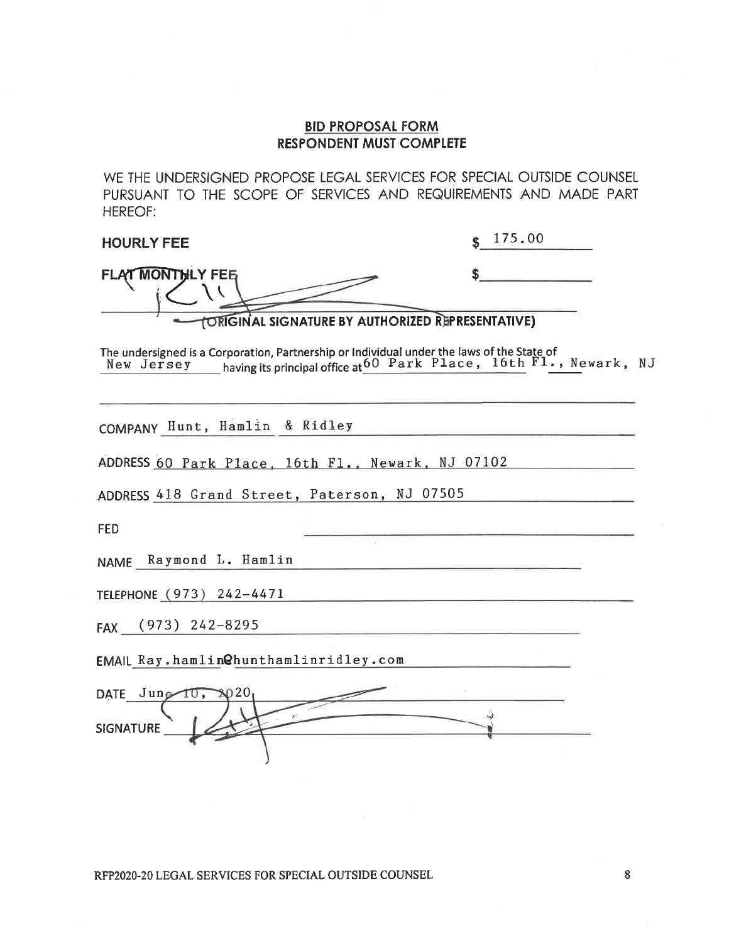WE THE UNDERSIGNED PROPOSE LEGAL SERVICES FOR SPECIAL OUTSIDE COUNSEL PURSUANT TO THE SCOPE OF SERVICES AND REQUIREMENTS AND MADE PART **HEREOF:** 

| <b>HOURLY FEE</b>                                                                                                                                                           | 175.00<br>\$ |
|-----------------------------------------------------------------------------------------------------------------------------------------------------------------------------|--------------|
| <b>FLAT MONTHLY FEB</b>                                                                                                                                                     | \$           |
| <b>ORIGINAL SIGNATURE BY AUTHORIZED REPRESENTATIVE)</b>                                                                                                                     |              |
| The undersigned is a Corporation, Partnership or Individual under the laws of the State of<br>New Jersey having its principal office at 60 Park Place, 16th Fl., Newark, NJ |              |
| COMPANY Hunt, Hamlin & Ridley                                                                                                                                               |              |
| ADDRESS 60 Park Place, 16th Fl., Newark, NJ 07102                                                                                                                           |              |
| ADDRESS 418 Grand Street, Paterson, NJ 07505                                                                                                                                |              |
| FED                                                                                                                                                                         |              |
| NAME Raymond L. Hamlin                                                                                                                                                      |              |
| TELEPHONE (973) 242-4471                                                                                                                                                    |              |
| $(973)$ 242-8295<br>FAX                                                                                                                                                     |              |
| EMAIL Ray.hamlin@hunthamlinridley.com                                                                                                                                       |              |
| DATE Jung<br>10,                                                                                                                                                            |              |
| <b>SIGNATURE</b>                                                                                                                                                            | i di         |

8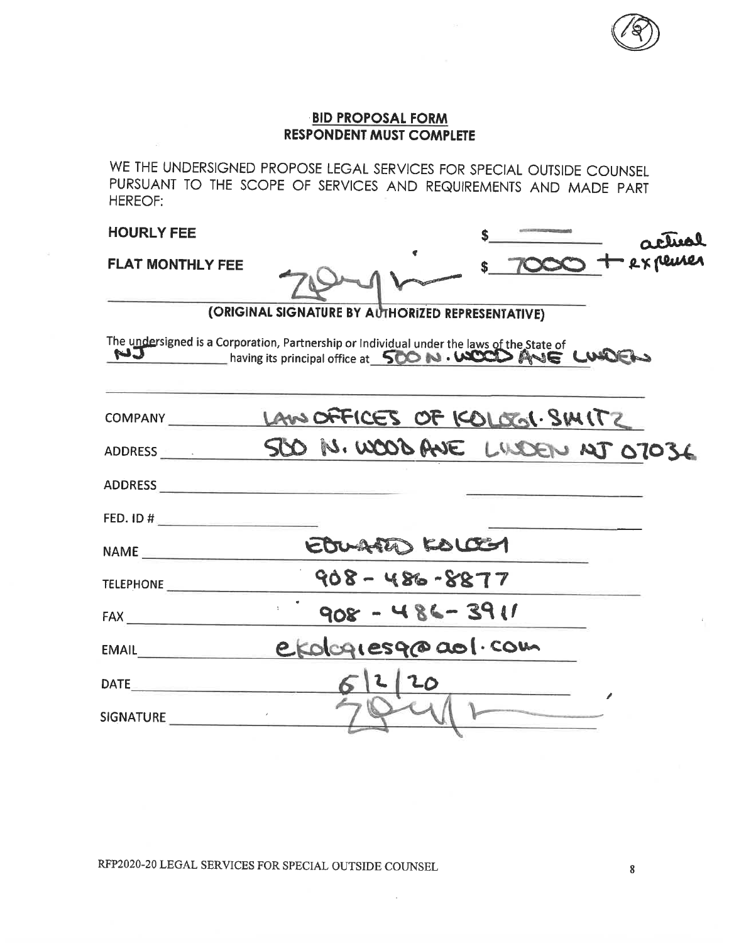

actival

#### **BID PROPOSAL FORM RESPONDENT MUST COMPLETE**

WE THE UNDERSIGNED PROPOSE LEGAL SERVICES FOR SPECIAL OUTSIDE COUNSEL PURSUANT TO THE SCOPE OF SERVICES AND REQUIREMENTS AND MADE PART HEREOF:

**HOURLY FEE** 

**FLAT MONTHLY FEE** 

|  | -O + expense |
|--|--------------|
|  |              |

\$

(ORIGINAL SIGNATURE BY AUTHORIZED REPRESENTATIVE)

The undersigned is a Corporation, Partnership or Individual under the laws of the State of UIDET

| COMPANY COMPANY               | LAW OFFICES OF KOLOGI. SMITZ   |
|-------------------------------|--------------------------------|
| ADDRESS <b>ADDRESS</b>        | SOO N. WOOD ANE LUDEN NJ 07036 |
| ADDRESS_____                  |                                |
| FED. ID $\#$                  |                                |
| NAME                          | EDURARD KOLOCH                 |
| <b>TELEPHONE</b>              | $908 - 486 - 8877$             |
| FAX                           | $1192 - 284 - 300$             |
| EMAIL                         | e Kologiesq@aol.com            |
| $\mathsf{DATE} \qquad \qquad$ | 20<br>612                      |
| <b>SIGNATURE</b>              |                                |

RFP2020-20 LEGAL SERVICES FOR SPECIAL OUTSIDE COUNSEL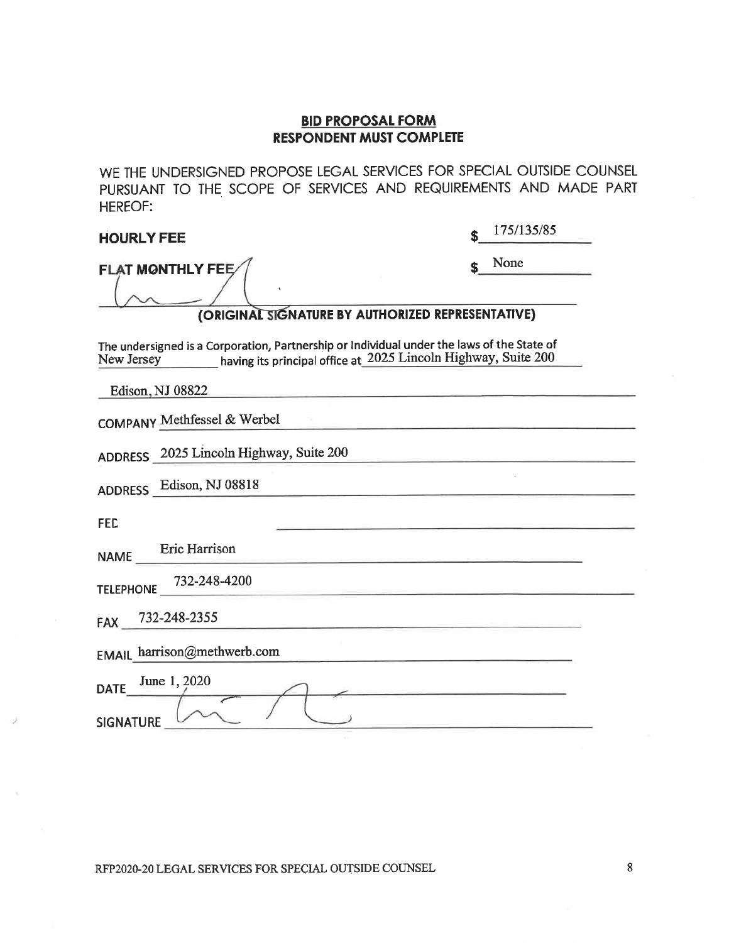WE THE UNDERSIGNED PROPOSE LEGAL SERVICES FOR SPECIAL OUTSIDE COUNSEL PURSUANT TO THE SCOPE OF SERVICES AND REQUIREMENTS AND MADE PART **HEREOF:** 

| <b>HOURLY FEE</b>                                                                                                                                                          | 175/135/85 |  |  |  |  |  |
|----------------------------------------------------------------------------------------------------------------------------------------------------------------------------|------------|--|--|--|--|--|
| <b>FLAT MONTHLY FEE</b><br>(ORIGINAL SIGNATURE BY AUTHORIZED REPRESENTATIVE)                                                                                               | None       |  |  |  |  |  |
| The undersigned is a Corporation, Partnership or Individual under the laws of the State of<br>having its principal office at 2025 Lincoln Highway, Suite 200<br>New Jersey |            |  |  |  |  |  |
| Edison, NJ 08822<br>COMPANY Methfessel & Werbel                                                                                                                            |            |  |  |  |  |  |
| ADDRESS 2025 Lincoln Highway, Suite 200<br>ADDRESS Edison, NJ 08818                                                                                                        |            |  |  |  |  |  |
| <b>FED</b><br>Eric Harrison                                                                                                                                                |            |  |  |  |  |  |
| <b>NAME</b><br>732-248-4200<br><b>TELEPHONE</b>                                                                                                                            |            |  |  |  |  |  |
| 732-248-2355<br><b>FAX</b>                                                                                                                                                 |            |  |  |  |  |  |
| EMAIL harrison@methwerb.com<br>June 1, 2020<br><b>DATE</b><br><b>SIGNATURE</b>                                                                                             |            |  |  |  |  |  |

RFP2020-20 LEGAL SERVICES FOR SPECIAL OUTSIDE COUNSEL

 $\bf 8$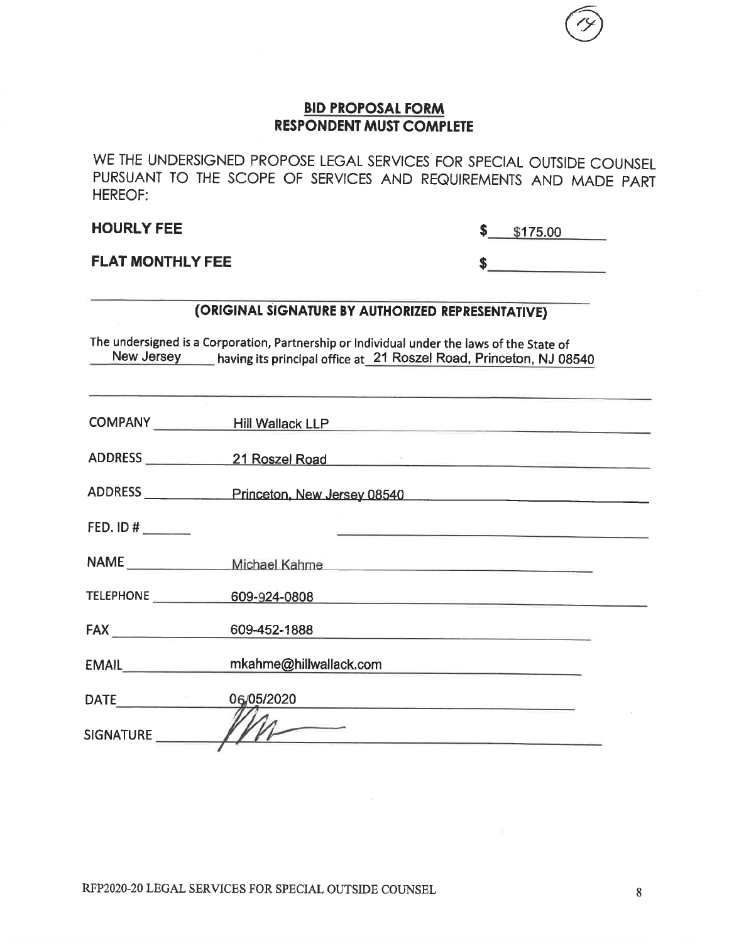WE THE UNDERSIGNED PROPOSE LEGAL SERVICES FOR SPECIAL OUTSIDE COUNSEL PURSUANT TO THE SCOPE OF SERVICES AND REQUIREMENTS AND MADE PART **HEREOF:** 

**HOURLY FEE** 

 $$175.00$ 

 $S$ 

**FLAT MONTHLY FEE** 

### (ORIGINAL SIGNATURE BY AUTHORIZED REPRESENTATIVE)

The undersigned is a Corporation, Partnership or Individual under the laws of the State of New Jersey having its principal office at 21 Roszel Road, Princeton, NJ 08540

|             | COMPANY Hill Wallack LLP Hill Wallack ALP              |
|-------------|--------------------------------------------------------|
|             | ADDRESS 21 Roszel Road                                 |
|             | ADDRESS ______________Princeton, New Jersey 08540      |
| FED. ID #   | <u> 1989 - Andrea Barbara, Amerikaansk politiker (</u> |
|             | NAME ________________ Michael Kahme                    |
|             | TELEPHONE 609-924-0808                                 |
| FAX         | 609-452-1888                                           |
| EMAIL       | mkahme@hillwallack.com                                 |
| <b>DATE</b> | 06/05/2020 2020                                        |
|             |                                                        |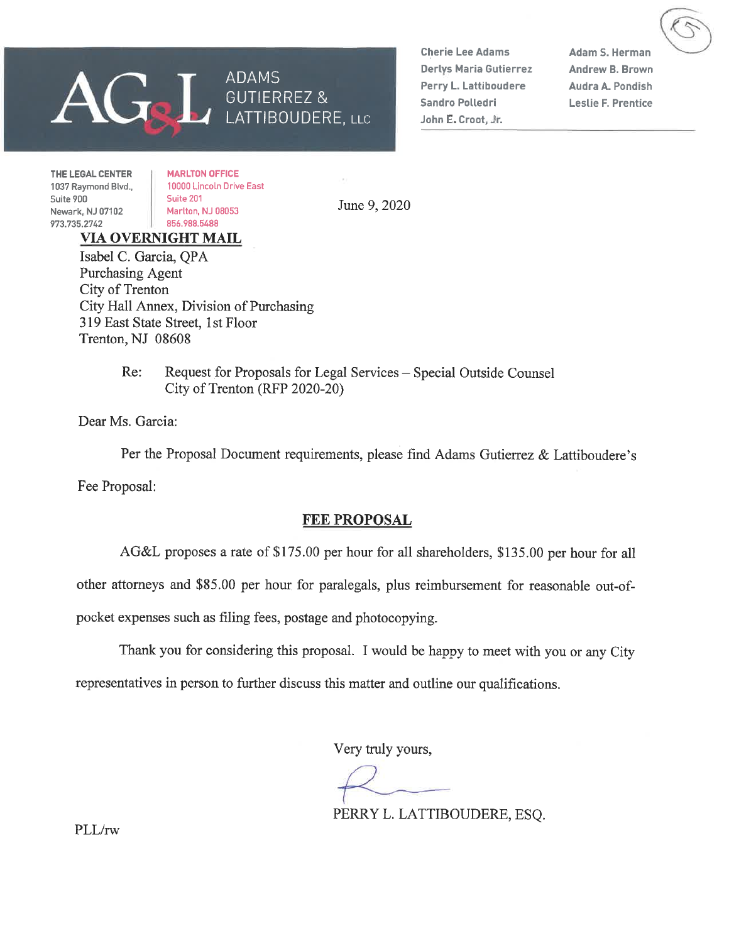

**Cherie Lee Adams Derlys Maria Gutierrez** Perry L. Lattiboudere Sandro Polledri John E. Croot, Jr.

**Adam S. Herman Andrew B. Brown** Audra A. Pondish **Leslie F. Prentice** 

THE LEGAL CENTER 1037 Raymond Blvd., Suite 900 Newark, NJ 07102 973.735.2742

**MARLTON OFFICE** 10000 Lincoln Drive East Suite 201 Marlton, NJ 08053 856.988.5488

June 9, 2020

### **VIA OVERNIGHT MAIL**

Isabel C. Garcia, OPA Purchasing Agent City of Trenton City Hall Annex, Division of Purchasing 319 East State Street, 1st Floor Trenton, NJ 08608

> $Re:$ Request for Proposals for Legal Services - Special Outside Counsel City of Trenton (RFP 2020-20)

Dear Ms. Garcia:

Per the Proposal Document requirements, please find Adams Gutierrez & Lattiboudere's Fee Proposal:

#### **FEE PROPOSAL**

AG&L proposes a rate of \$175.00 per hour for all shareholders, \$135.00 per hour for all

other attorneys and \$85.00 per hour for paralegals, plus reimbursement for reasonable out-of-

pocket expenses such as filing fees, postage and photocopying.

Thank you for considering this proposal. I would be happy to meet with you or any City

representatives in person to further discuss this matter and outline our qualifications.

Very truly yours,

PERRY L. LATTIBOUDERE, ESO.

PLL/rw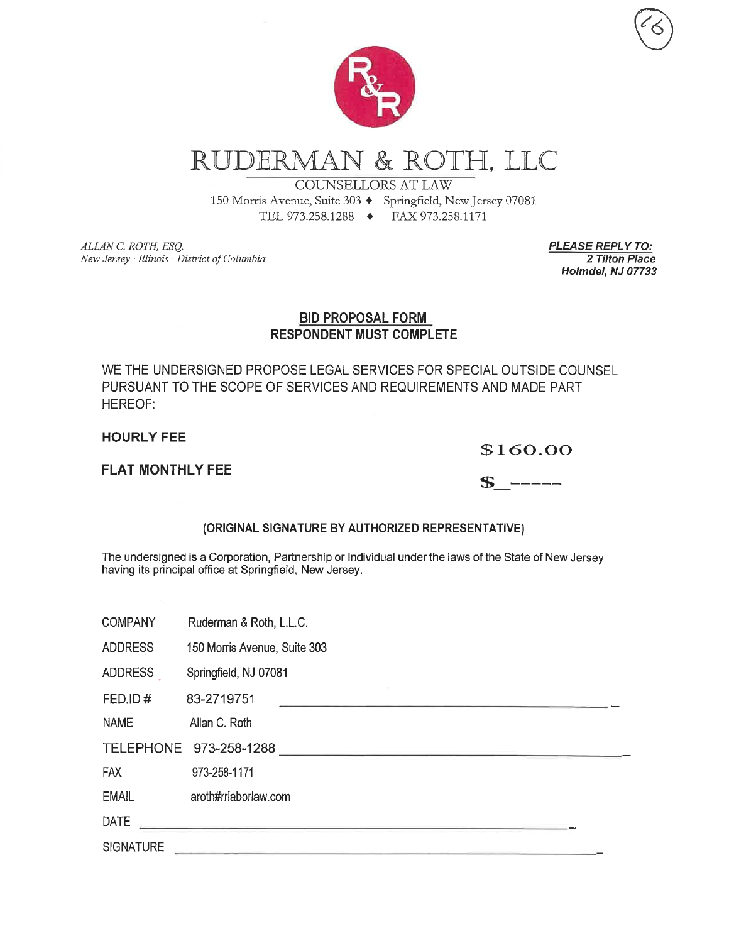

RUDERMAN & ROTH, LLC

### **COUNSELLORS AT LAW**

150 Morris Avenue, Suite 303 + Springfield, New Jersey 07081 TEL 973.258.1288 ♦ FAX 973.258.1171

ALLAN C. ROTH, ESQ. New Jersey · Illinois · District of Columbia **PLEASE REPLY TO:** 2 Tilton Place Holmdel, NJ 07733

#### **BID PROPOSAL FORM RESPONDENT MUST COMPLETE**

WE THE UNDERSIGNED PROPOSE LEGAL SERVICES FOR SPECIAL OUTSIDE COUNSEL PURSUANT TO THE SCOPE OF SERVICES AND REQUIREMENTS AND MADE PART **HEREOF:** 

**HOURLY FEE** 

#### \$160.00

#### **FLAT MONTHLY FEE**

| ۰<br>ħ. |  | -- |  |
|---------|--|----|--|
|         |  |    |  |

### (ORIGINAL SIGNATURE BY AUTHORIZED REPRESENTATIVE)

The undersigned is a Corporation, Partnership or Individual under the laws of the State of New Jersey having its principal office at Springfield, New Jersey.

| <b>COMPANY</b>   | Ruderman & Roth, L.L.C.                                                                   |
|------------------|-------------------------------------------------------------------------------------------|
| <b>ADDRESS</b>   | 150 Morris Avenue, Suite 303                                                              |
| <b>ADDRESS</b>   | Springfield, NJ 07081                                                                     |
| FED.ID#          | 83-2719751                                                                                |
| <b>NAME</b>      | Allan C. Roth                                                                             |
|                  | TELEPHONE 973-258-1288<br><u> 1989 - An Aonaichte ann an Cathair an Comhair ann an t-</u> |
| <b>FAX</b>       | 973-258-1171                                                                              |
| <b>EMAIL</b>     | aroth#rrlaborlaw.com                                                                      |
| <b>DATE</b>      | <u> 1990 - Jan Barnett, amerikansk politik (</u>                                          |
| <b>SIGNATURE</b> |                                                                                           |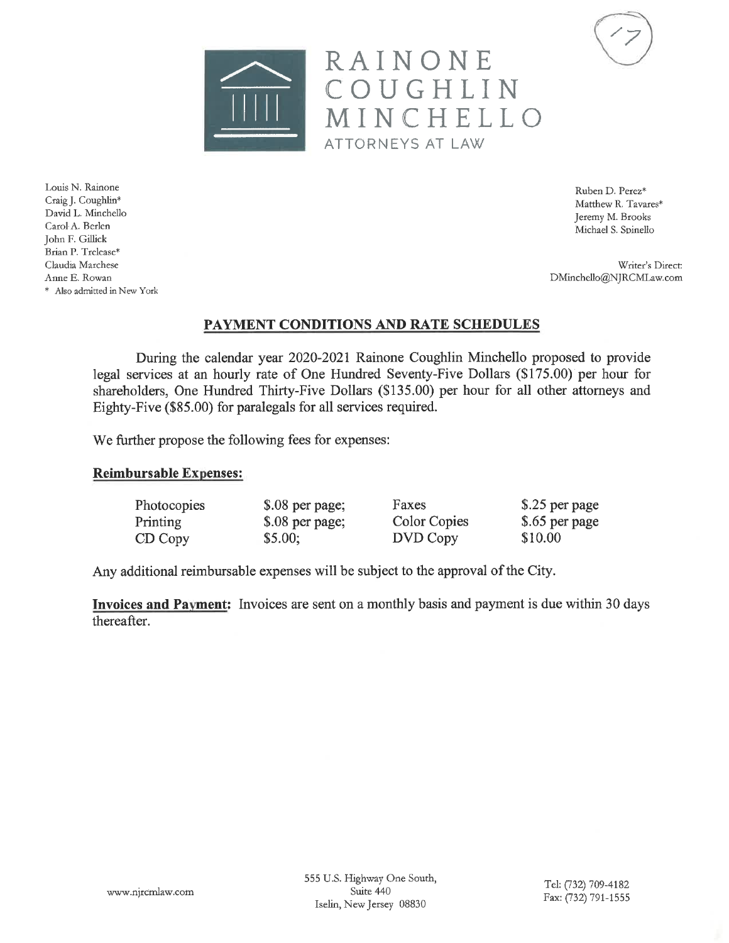



Ruben D. Perez\* Matthew R. Tavares\* Jeremy M. Brooks Michael S. Spinello

Writer's Direct: DMinchello@NJRCMLaw.com

PAYMENT CONDITIONS AND RATE SCHEDULES

RAINONE

ATTORNEYS AT LAW

COUGHLIN

MINCHELLO

During the calendar year 2020-2021 Rainone Coughlin Minchello proposed to provide legal services at an hourly rate of One Hundred Seventy-Five Dollars (\$175.00) per hour for shareholders, One Hundred Thirty-Five Dollars (\$135.00) per hour for all other attorneys and Eighty-Five (\$85.00) for paralegals for all services required.

We further propose the following fees for expenses:

#### **Reimbursable Expenses:**

| Photocopies | \$.08 per page; | Faxes        | \$.25 per page |
|-------------|-----------------|--------------|----------------|
| Printing    | \$.08 per page; | Color Copies | \$.65 per page |
| CD Copy     | \$5.00;         | DVD Copy     | \$10.00        |

Any additional reimbursable expenses will be subject to the approval of the City.

Invoices and Payment: Invoices are sent on a monthly basis and payment is due within 30 days thereafter.

Louis N. Rainone Craig J. Coughlin\* David L. Minchello Carol A. Berlen John F. Gillick Brian P. Trelease\* Claudia Marchese Anne E. Rowan \* Also admitted in New York